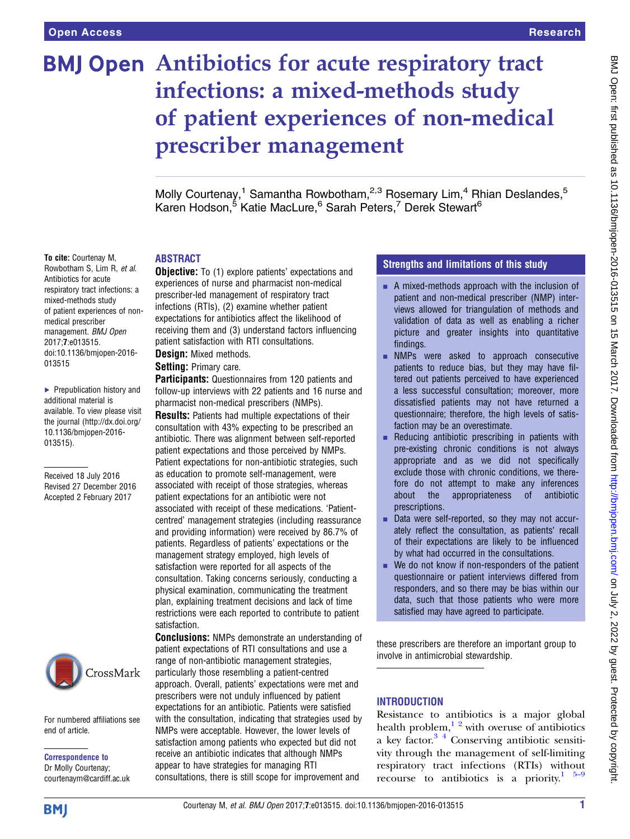To cite: Courtenay M, Rowbotham S, Lim R, et al. Antibiotics for acute respiratory tract infections: a mixed-methods study of patient experiences of non-

medical prescriber management. BMJ Open 2017;7:e013515.

013515

[013515\)](http://dx.doi.org/10.1136/bmjopen-2016-013515).

doi:10.1136/bmjopen-2016-

▶ Prepublication history and additional material is available. To view please visit the journal [\(http://dx.doi.org/](http://dx.doi.org/10.1136/bmjopen-2016-013515) [10.1136/bmjopen-2016-](http://dx.doi.org/10.1136/bmjopen-2016-013515)

Received 18 July 2016 Revised 27 December 2016 Accepted 2 February 2017

# **BMJ Open Antibiotics for acute respiratory tract** infections: a mixed-methods study of patient experiences of non-medical prescriber management

Molly Courtenay,<sup>1</sup> Samantha Rowbotham,<sup>2,3</sup> Rosemary Lim,<sup>4</sup> Rhian Deslandes,<sup>5</sup> Karen Hodson,<sup>5</sup> Katie MacLure,<sup>6</sup> Sarah Peters,<sup>7</sup> Derek Stewart<sup>6</sup>

### **ARSTRACT**

**Objective:** To (1) explore patients' expectations and experiences of nurse and pharmacist non-medical prescriber-led management of respiratory tract infections (RTIs), (2) examine whether patient expectations for antibiotics affect the likelihood of receiving them and (3) understand factors influencing patient satisfaction with RTI consultations. **Design:** Mixed methods.

Setting: Primary care.

Participants: Questionnaires from 120 patients and follow-up interviews with 22 patients and 16 nurse and pharmacist non-medical prescribers (NMPs).

Results: Patients had multiple expectations of their consultation with 43% expecting to be prescribed an antibiotic. There was alignment between self-reported patient expectations and those perceived by NMPs. Patient expectations for non-antibiotic strategies, such as education to promote self-management, were associated with receipt of those strategies, whereas patient expectations for an antibiotic were not associated with receipt of these medications. 'Patientcentred' management strategies (including reassurance and providing information) were received by 86.7% of patients. Regardless of patients' expectations or the management strategy employed, high levels of satisfaction were reported for all aspects of the consultation. Taking concerns seriously, conducting a physical examination, communicating the treatment plan, explaining treatment decisions and lack of time restrictions were each reported to contribute to patient satisfaction.

Conclusions: NMPs demonstrate an understanding of patient expectations of RTI consultations and use a range of non-antibiotic management strategies, particularly those resembling a patient-centred approach. Overall, patients' expectations were met and prescribers were not unduly influenced by patient expectations for an antibiotic. Patients were satisfied with the consultation, indicating that strategies used by NMPs were acceptable. However, the lower levels of satisfaction among patients who expected but did not receive an antibiotic indicates that although NMPs appear to have strategies for managing RTI consultations, there is still scope for improvement and

### Strengths and limitations of this study

- $\blacksquare$  A mixed-methods approach with the inclusion of patient and non-medical prescriber (NMP) interviews allowed for triangulation of methods and validation of data as well as enabling a richer picture and greater insights into quantitative findings.
- $\blacksquare$  NMPs were asked to approach consecutive patients to reduce bias, but they may have filtered out patients perceived to have experienced a less successful consultation; moreover, more dissatisfied patients may not have returned a questionnaire; therefore, the high levels of satisfaction may be an overestimate.
- $\blacksquare$  Reducing antibiotic prescribing in patients with pre-existing chronic conditions is not always appropriate and as we did not specifically exclude those with chronic conditions, we therefore do not attempt to make any inferences about the appropriateness of antibiotic prescriptions.
- Data were self-reported, so they may not accurately reflect the consultation, as patients' recall of their expectations are likely to be influenced by what had occurred in the consultations.
- $\blacksquare$  We do not know if non-responders of the patient questionnaire or patient interviews differed from responders, and so there may be bias within our data, such that those patients who were more satisfied may have agreed to participate.

these prescribers are therefore an important group to involve in antimicrobial stewardship.

### INTRODUCTION

Resistance to antibiotics is a major global health problem, $\frac{1}{2}$  with overuse of antibiotics a key factor. $3 \frac{4}{3}$  Conserving antibiotic sensitivity through the management of self-limiting respiratory tract infections (RTIs) without recourse to antibiotics is a priority.<sup>1</sup>  $5-9$ 

Correspondence to Dr Molly Courtenay; courtenaym@cardiff.ac.uk

end of article.

For numbered affiliations see

CrossMark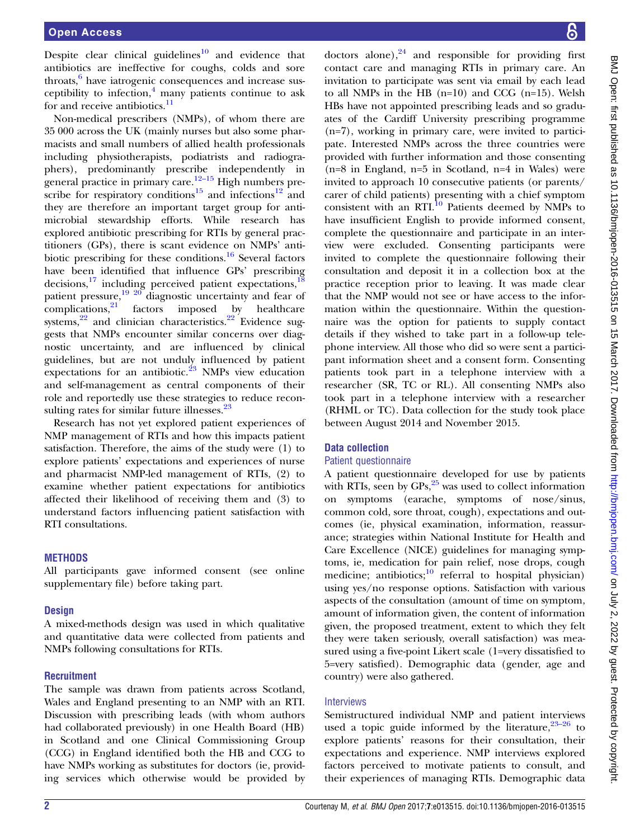Despite clear clinical guidelines $10$  and evidence that antibiotics are ineffective for coughs, colds and sore throats, $6$  have iatrogenic consequences and increase susceptibility to infection, $\frac{4}{3}$  $\frac{4}{3}$  $\frac{4}{3}$  many patients continue to ask for and receive antibiotics.<sup>[11](#page-8-0)</sup>

Non-medical prescribers (NMPs), of whom there are 35 000 across the UK (mainly nurses but also some pharmacists and small numbers of allied health professionals including physiotherapists, podiatrists and radiographers), predominantly prescribe independently in general practice in primary care.<sup>[12](#page-8-0)–15</sup> High numbers pre-scribe for respiratory conditions<sup>[15](#page-8-0)</sup> and infections<sup>[12](#page-8-0)</sup> and they are therefore an important target group for antimicrobial stewardship efforts. While research has explored antibiotic prescribing for RTIs by general practitioners (GPs), there is scant evidence on NMPs' antibiotic prescribing for these conditions. $16$  Several factors have been identified that influence GPs' prescribing decisions, $^{17}$  $^{17}$  $^{17}$  including perceived patient expectations,<sup>1</sup> patient pressure,<sup>[19 20](#page-8-0)</sup> diagnostic uncertainty and fear of complications,<sup>[21](#page-8-0)</sup> factors imposed by healthcare systems, $^{22}$  $^{22}$  $^{22}$  and clinician characteristics. $^{22}$  Evidence suggests that NMPs encounter similar concerns over diagnostic uncertainty, and are influenced by clinical guidelines, but are not unduly influenced by patient expectations for an antibiotic. $^{23}$  $^{23}$  $^{23}$  NMPs view education and self-management as central components of their role and reportedly use these strategies to reduce recon-sulting rates for similar future illnesses.<sup>[23](#page-8-0)</sup>

Research has not yet explored patient experiences of NMP management of RTIs and how this impacts patient satisfaction. Therefore, the aims of the study were (1) to explore patients' expectations and experiences of nurse and pharmacist NMP-led management of RTIs, (2) to examine whether patient expectations for antibiotics affected their likelihood of receiving them and (3) to understand factors influencing patient satisfaction with RTI consultations.

### **METHODS**

All participants gave informed consent (see online [supplementary](http://dx.doi.org/10.1136/bmjopen-2016-013515) file) before taking part.

### **Design**

A mixed-methods design was used in which qualitative and quantitative data were collected from patients and NMPs following consultations for RTIs.

### **Recruitment**

The sample was drawn from patients across Scotland, Wales and England presenting to an NMP with an RTI. Discussion with prescribing leads (with whom authors had collaborated previously) in one Health Board (HB) in Scotland and one Clinical Commissioning Group (CCG) in England identified both the HB and CCG to have NMPs working as substitutes for doctors (ie, providing services which otherwise would be provided by

doctors alone), $24$  and responsible for providing first contact care and managing RTIs in primary care. An invitation to participate was sent via email by each lead to all NMPs in the HB (n=10) and CCG (n=15). Welsh HBs have not appointed prescribing leads and so graduates of the Cardiff University prescribing programme (n=7), working in primary care, were invited to participate. Interested NMPs across the three countries were provided with further information and those consenting  $(n=8$  in England, n=5 in Scotland, n=4 in Wales) were invited to approach 10 consecutive patients (or parents/ carer of child patients) presenting with a chief symptom consistent with an RTI.<sup>[10](#page-8-0)</sup> Patients deemed by NMPs to have insufficient English to provide informed consent, complete the questionnaire and participate in an interview were excluded. Consenting participants were invited to complete the questionnaire following their consultation and deposit it in a collection box at the practice reception prior to leaving. It was made clear that the NMP would not see or have access to the information within the questionnaire. Within the questionnaire was the option for patients to supply contact details if they wished to take part in a follow-up telephone interview. All those who did so were sent a participant information sheet and a consent form. Consenting patients took part in a telephone interview with a researcher (SR, TC or RL). All consenting NMPs also took part in a telephone interview with a researcher (RHML or TC). Data collection for the study took place between August 2014 and November 2015.

### Data collection

### Patient questionnaire

A patient questionnaire developed for use by patients with RTIs, seen by  $\text{GPs}^{25}$  $\text{GPs}^{25}$  $\text{GPs}^{25}$  was used to collect information on symptoms (earache, symptoms of nose/sinus, common cold, sore throat, cough), expectations and outcomes (ie, physical examination, information, reassurance; strategies within National Institute for Health and Care Excellence (NICE) guidelines for managing symptoms, ie, medication for pain relief, nose drops, cough medicine; antibiotics; $\frac{10}{10}$  referral to hospital physician) using yes/no response options. Satisfaction with various aspects of the consultation (amount of time on symptom, amount of information given, the content of information given, the proposed treatment, extent to which they felt they were taken seriously, overall satisfaction) was measured using a five-point Likert scale (1=very dissatisfied to 5=very satisfied). Demographic data (gender, age and country) were also gathered.

### **Interviews**

Semistructured individual NMP and patient interviews used a topic guide informed by the literature,  $23-26$  $23-26$  to explore patients' reasons for their consultation, their expectations and experience. NMP interviews explored factors perceived to motivate patients to consult, and their experiences of managing RTIs. Demographic data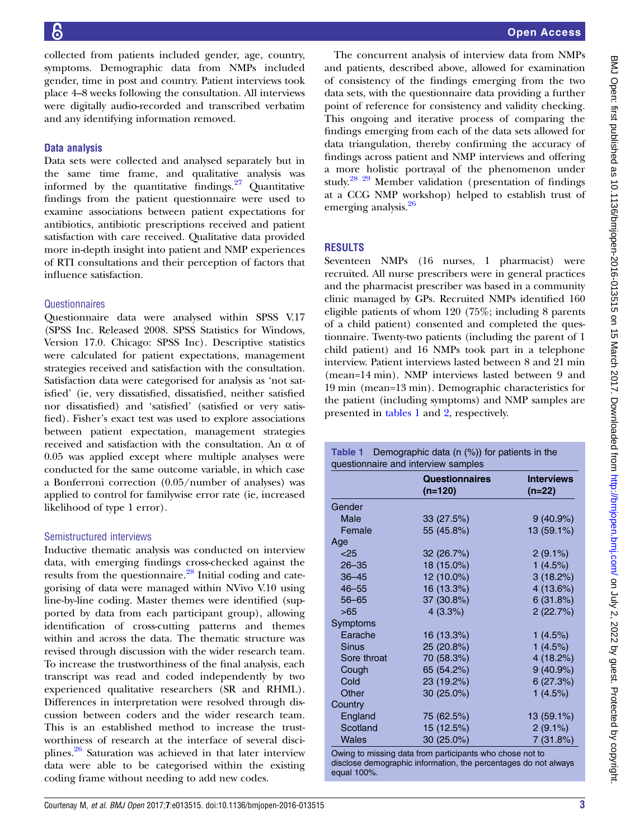collected from patients included gender, age, country, symptoms. Demographic data from NMPs included gender, time in post and country. Patient interviews took place 4–8 weeks following the consultation. All interviews were digitally audio-recorded and transcribed verbatim and any identifying information removed.

### Data analysis

Data sets were collected and analysed separately but in the same time frame, and qualitative analysis was informed by the quantitative findings.[27](#page-8-0) Quantitative findings from the patient questionnaire were used to examine associations between patient expectations for antibiotics, antibiotic prescriptions received and patient satisfaction with care received. Qualitative data provided more in-depth insight into patient and NMP experiences of RTI consultations and their perception of factors that influence satisfaction.

### **Questionnaires**

Questionnaire data were analysed within SPSS V.17 (SPSS Inc. Released 2008. SPSS Statistics for Windows, Version 17.0. Chicago: SPSS Inc). Descriptive statistics were calculated for patient expectations, management strategies received and satisfaction with the consultation. Satisfaction data were categorised for analysis as 'not satisfied' (ie, very dissatisfied, dissatisfied, neither satisfied nor dissatisfied) and 'satisfied' (satisfied or very satisfied). Fisher's exact test was used to explore associations between patient expectation, management strategies received and satisfaction with the consultation. An  $\alpha$  of 0.05 was applied except where multiple analyses were conducted for the same outcome variable, in which case a Bonferroni correction (0.05/number of analyses) was applied to control for familywise error rate (ie, increased likelihood of type 1 error).

### Semistructured interviews

Inductive thematic analysis was conducted on interview data, with emerging findings cross-checked against the results from the questionnaire.<sup>[28](#page-8-0)</sup> Initial coding and categorising of data were managed within NVivo V.10 using line-by-line coding. Master themes were identified (supported by data from each participant group), allowing identification of cross-cutting patterns and themes within and across the data. The thematic structure was revised through discussion with the wider research team. To increase the trustworthiness of the final analysis, each transcript was read and coded independently by two experienced qualitative researchers (SR and RHML). Differences in interpretation were resolved through discussion between coders and the wider research team. This is an established method to increase the trustworthiness of research at the interface of several disci-plines.<sup>[26](#page-8-0)</sup> Saturation was achieved in that later interview data were able to be categorised within the existing coding frame without needing to add new codes.

The concurrent analysis of interview data from NMPs and patients, described above, allowed for examination of consistency of the findings emerging from the two data sets, with the questionnaire data providing a further point of reference for consistency and validity checking. This ongoing and iterative process of comparing the findings emerging from each of the data sets allowed for data triangulation, thereby confirming the accuracy of findings across patient and NMP interviews and offering a more holistic portrayal of the phenomenon under study.[28 29](#page-8-0) Member validation (presentation of findings at a CCG NMP workshop) helped to establish trust of emerging analysis.<sup>[26](#page-8-0)</sup>

### RESULTS

Seventeen NMPs (16 nurses, 1 pharmacist) were recruited. All nurse prescribers were in general practices and the pharmacist prescriber was based in a community clinic managed by GPs. Recruited NMPs identified 160 eligible patients of whom 120 (75%; including 8 parents of a child patient) consented and completed the questionnaire. Twenty-two patients (including the parent of 1 child patient) and 16 NMPs took part in a telephone interview. Patient interviews lasted between 8 and 21 min (mean=14 min). NMP interviews lasted between 9 and 19 min (mean=13 min). Demographic characteristics for the patient (including symptoms) and NMP samples are presented in tables 1 and [2,](#page-3-0) respectively.

|                                     | <b>Table 1</b> Demographic data $(n \ (\%)$ for patients in the |  |
|-------------------------------------|-----------------------------------------------------------------|--|
| questionnaire and interview samples |                                                                 |  |

|              | Questionnaires<br>(n=120) | <b>Interviews</b><br>(n=22) |
|--------------|---------------------------|-----------------------------|
| Gender       |                           |                             |
| <b>Male</b>  | 33 (27.5%)                | $9(40.9\%)$                 |
| Female       | 55 (45.8%)                | 13 (59.1%)                  |
| Age          |                           |                             |
| $25$         | 32 (26.7%)                | $2(9.1\%)$                  |
| $26 - 35$    | 18 (15.0%)                | 1(4.5%)                     |
| $36 - 45$    | 12 (10.0%)                | 3(18.2%)                    |
| $46 - 55$    | 16 (13.3%)                | 4(13.6%)                    |
| $56 - 65$    | 37 (30.8%)                | 6(31.8%)                    |
| >65          | 4(3.3%)                   | 2(22.7%)                    |
| Symptoms     |                           |                             |
| Earache      | 16 (13.3%)                | 1(4.5%)                     |
| Sinus        | 25 (20.8%)                | 1(4.5%)                     |
| Sore throat  | 70 (58.3%)                | 4 (18.2%)                   |
| Cough        | 65 (54.2%)                | $9(40.9\%)$                 |
| Cold         | 23 (19.2%)                | 6(27.3%)                    |
| Other        | 30 (25.0%)                | 1(4.5%)                     |
| Country      |                           |                             |
| England      | 75 (62.5%)                | 13 (59.1%)                  |
| Scotland     | 15 (12.5%)                | $2(9.1\%)$                  |
| <b>Wales</b> | 30 (25.0%)                | 7 (31.8%)                   |

Owing to missing data from participants who chose not to disclose demographic information, the percentages do not always equal 100%.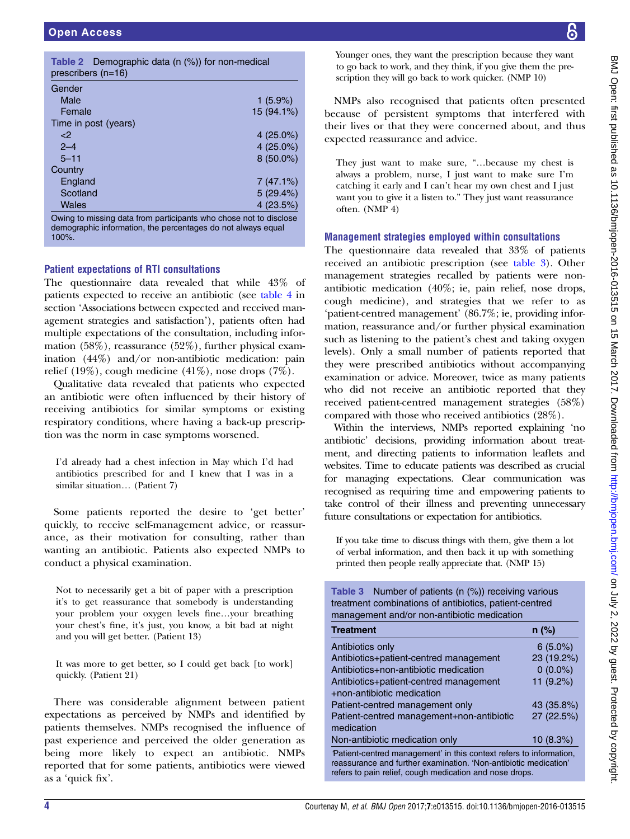<span id="page-3-0"></span>

| <b>Table 2</b> Demographic data $(n \ (\%)$ for non-medical |
|-------------------------------------------------------------|
|                                                             |
| $1(5.9\%)$                                                  |
| 15 (94.1%)                                                  |
|                                                             |
| $4(25.0\%)$                                                 |
| $4(25.0\%)$                                                 |
| $8(50.0\%)$                                                 |
|                                                             |
| $7(47.1\%)$                                                 |
| 5(29.4%)                                                    |
| 4(23.5%)                                                    |
|                                                             |

Owing to missing data from participants who chose not to disclose demographic information, the percentages do not always equal 100%.

### Patient expectations of RTI consultations

The questionnaire data revealed that while 43% of patients expected to receive an antibiotic (see [table 4](#page-4-0) in section 'Associations between expected and received management strategies and satisfaction'), patients often had multiple expectations of the consultation, including information (58%), reassurance (52%), further physical examination (44%) and/or non-antibiotic medication: pain relief  $(19\%)$ , cough medicine  $(41\%)$ , nose drops  $(7\%)$ .

Qualitative data revealed that patients who expected an antibiotic were often influenced by their history of receiving antibiotics for similar symptoms or existing respiratory conditions, where having a back-up prescription was the norm in case symptoms worsened.

I'd already had a chest infection in May which I'd had antibiotics prescribed for and I knew that I was in a similar situation… (Patient 7)

Some patients reported the desire to 'get better' quickly, to receive self-management advice, or reassurance, as their motivation for consulting, rather than wanting an antibiotic. Patients also expected NMPs to conduct a physical examination.

Not to necessarily get a bit of paper with a prescription it's to get reassurance that somebody is understanding your problem your oxygen levels fine…your breathing your chest's fine, it's just, you know, a bit bad at night and you will get better. (Patient 13)

It was more to get better, so I could get back [to work] quickly. (Patient 21)

There was considerable alignment between patient expectations as perceived by NMPs and identified by patients themselves. NMPs recognised the influence of past experience and perceived the older generation as being more likely to expect an antibiotic. NMPs reported that for some patients, antibiotics were viewed as a 'quick fix'.

Younger ones, they want the prescription because they want to go back to work, and they think, if you give them the prescription they will go back to work quicker. (NMP 10)

NMPs also recognised that patients often presented because of persistent symptoms that interfered with their lives or that they were concerned about, and thus expected reassurance and advice.

They just want to make sure, "…because my chest is always a problem, nurse, I just want to make sure I'm catching it early and I can't hear my own chest and I just want you to give it a listen to." They just want reassurance often. (NMP 4)

## Management strategies employed within consultations

The questionnaire data revealed that 33% of patients received an antibiotic prescription (see table 3). Other management strategies recalled by patients were nonantibiotic medication (40%; ie, pain relief, nose drops, cough medicine), and strategies that we refer to as 'patient-centred management' (86.7%; ie, providing information, reassurance and/or further physical examination such as listening to the patient's chest and taking oxygen levels). Only a small number of patients reported that they were prescribed antibiotics without accompanying examination or advice. Moreover, twice as many patients who did not receive an antibiotic reported that they received patient-centred management strategies (58%) compared with those who received antibiotics (28%).

Within the interviews, NMPs reported explaining 'no antibiotic' decisions, providing information about treatment, and directing patients to information leaflets and websites. Time to educate patients was described as crucial for managing expectations. Clear communication was recognised as requiring time and empowering patients to take control of their illness and preventing unnecessary future consultations or expectation for antibiotics.

If you take time to discuss things with them, give them a lot of verbal information, and then back it up with something printed then people really appreciate that. (NMP 15)

| <b>Table 3</b> Number of patients (n (%)) receiving various<br>treatment combinations of antibiotics, patient-centred<br>management and/or non-antibiotic medication                              |            |  |  |
|---------------------------------------------------------------------------------------------------------------------------------------------------------------------------------------------------|------------|--|--|
| <b>Treatment</b>                                                                                                                                                                                  | $n$ (%)    |  |  |
| Antibiotics only                                                                                                                                                                                  | $6(5.0\%)$ |  |  |
| Antibiotics+patient-centred management                                                                                                                                                            | 23 (19.2%) |  |  |
| Antibiotics+non-antibiotic medication                                                                                                                                                             | $0(0.0\%)$ |  |  |
| Antibiotics+patient-centred management                                                                                                                                                            | 11 (9.2%)  |  |  |
| +non-antibiotic medication                                                                                                                                                                        |            |  |  |
| Patient-centred management only                                                                                                                                                                   | 43 (35.8%) |  |  |
| Patient-centred management+non-antibiotic                                                                                                                                                         | 27(22.5%)  |  |  |
| medication                                                                                                                                                                                        |            |  |  |
| Non-antibiotic medication only                                                                                                                                                                    | 10(8.3%)   |  |  |
| Patient-centred management' in this context refers to information,<br>reassurance and further examination. 'Non-antibiotic medication'<br>refers to pain relief, cough medication and nose drops. |            |  |  |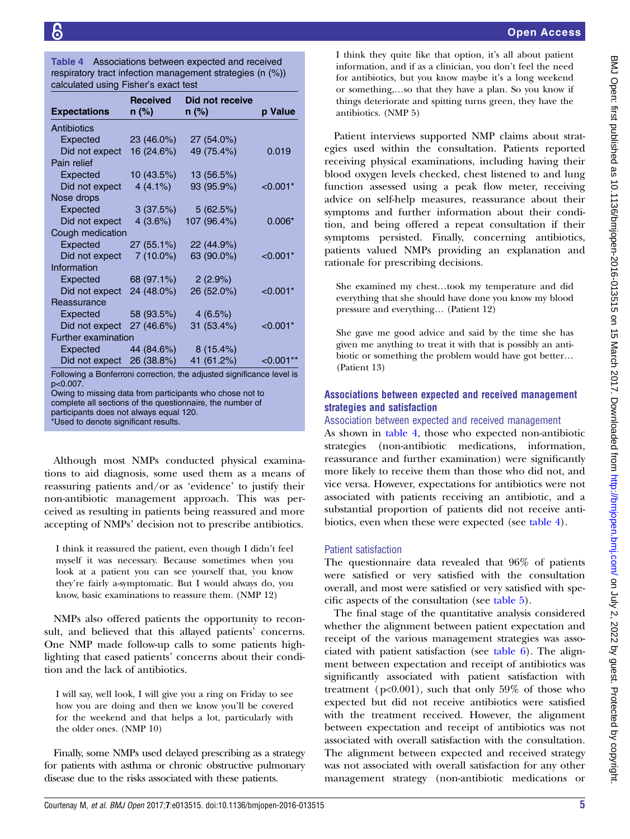<span id="page-4-0"></span>Table 4 Associations between expected and received respiratory tract infection management strategies (n (%)) calculated using Fisher's exact test

|                                         | <b>Received</b> | Did not receive                                                       |              |
|-----------------------------------------|-----------------|-----------------------------------------------------------------------|--------------|
| <b>Expectations</b>                     | n (%)           | n (%)                                                                 | p Value      |
| Antibiotics                             |                 |                                                                       |              |
| Expected                                | 23 (46.0%)      | 27 (54.0%)                                                            |              |
| Did not expect                          | 16 (24.6%)      | 49 (75.4%)                                                            | 0.019        |
| Pain relief                             |                 |                                                                       |              |
| Expected                                | 10 (43.5%)      | 13 (56.5%)                                                            |              |
| Did not expect                          | 4(4.1%)         | 93 (95.9%)                                                            | $< 0.001*$   |
| Nose drops                              |                 |                                                                       |              |
| Expected                                | 3(37.5%)        | 5(62.5%)                                                              |              |
| Did not expect                          | 4(3.6%)         | 107 (96.4%)                                                           | $0.006*$     |
| Cough medication                        |                 |                                                                       |              |
| Expected                                | 27 (55.1%)      | 22 (44.9%)                                                            |              |
| Did not expect                          | 7 (10.0%)       | 63 (90.0%)                                                            | $< 0.001*$   |
| Information                             |                 |                                                                       |              |
| Expected                                | 68 (97.1%)      | 2(2.9%)                                                               |              |
| Did not expect                          | 24 (48.0%)      | 26 (52.0%)                                                            | $< 0.001*$   |
| Reassurance                             |                 |                                                                       |              |
| Expected                                | 58 (93.5%)      | 4(6.5%)                                                               |              |
| Did not expect                          | 27 (46.6%)      | 31 (53.4%)                                                            | $< 0.001*$   |
| <b>Further examination</b>              |                 |                                                                       |              |
| Expected                                | 44 (84.6%)      | $8(15.4\%)$                                                           |              |
| Did not expect                          | 26 (38.8%)      | 41 (61.2%)                                                            | $< 0.001$ ** |
| p<0.007.                                |                 | Following a Bonferroni correction, the adjusted significance level is |              |
|                                         |                 | Owing to missing data from participants who chose not to              |              |
|                                         |                 | complete all sections of the questionnaire, the number of             |              |
| participants does not always equal 120. |                 |                                                                       |              |

\*Used to denote significant results.

Although most NMPs conducted physical examinations to aid diagnosis, some used them as a means of reassuring patients and/or as 'evidence' to justify their non-antibiotic management approach. This was perceived as resulting in patients being reassured and more accepting of NMPs' decision not to prescribe antibiotics.

I think it reassured the patient, even though I didn't feel myself it was necessary. Because sometimes when you look at a patient you can see yourself that, you know they're fairly a-symptomatic. But I would always do, you know, basic examinations to reassure them. (NMP 12)

NMPs also offered patients the opportunity to reconsult, and believed that this allayed patients' concerns. One NMP made follow-up calls to some patients highlighting that eased patients' concerns about their condition and the lack of antibiotics.

I will say, well look, I will give you a ring on Friday to see how you are doing and then we know you'll be covered for the weekend and that helps a lot, particularly with the older ones. (NMP 10)

Finally, some NMPs used delayed prescribing as a strategy for patients with asthma or chronic obstructive pulmonary disease due to the risks associated with these patients.

I think they quite like that option, it's all about patient information, and if as a clinician, you don't feel the need for antibiotics, but you know maybe it's a long weekend or something,…so that they have a plan. So you know if things deteriorate and spitting turns green, they have the antibiotics. (NMP 5)

Patient interviews supported NMP claims about strategies used within the consultation. Patients reported receiving physical examinations, including having their blood oxygen levels checked, chest listened to and lung function assessed using a peak flow meter, receiving advice on self-help measures, reassurance about their symptoms and further information about their condition, and being offered a repeat consultation if their symptoms persisted. Finally, concerning antibiotics, patients valued NMPs providing an explanation and rationale for prescribing decisions.

She examined my chest…took my temperature and did everything that she should have done you know my blood pressure and everything… (Patient 12)

She gave me good advice and said by the time she has given me anything to treat it with that is possibly an antibiotic or something the problem would have got better… (Patient 13)

### Associations between expected and received management strategies and satisfaction

### Association between expected and received management

As shown in table 4, those who expected non-antibiotic strategies (non-antibiotic medications, information, reassurance and further examination) were significantly more likely to receive them than those who did not, and vice versa. However, expectations for antibiotics were not associated with patients receiving an antibiotic, and a substantial proportion of patients did not receive antibiotics, even when these were expected (see table 4).

### Patient satisfaction

The questionnaire data revealed that 96% of patients were satisfied or very satisfied with the consultation overall, and most were satisfied or very satisfied with specific aspects of the consultation (see [table 5](#page-5-0)).

The final stage of the quantitative analysis considered whether the alignment between patient expectation and receipt of the various management strategies was associated with patient satisfaction (see [table 6](#page-5-0)). The alignment between expectation and receipt of antibiotics was significantly associated with patient satisfaction with treatment ( $p<0.001$ ), such that only 59% of those who expected but did not receive antibiotics were satisfied with the treatment received. However, the alignment between expectation and receipt of antibiotics was not associated with overall satisfaction with the consultation. The alignment between expected and received strategy was not associated with overall satisfaction for any other management strategy (non-antibiotic medications or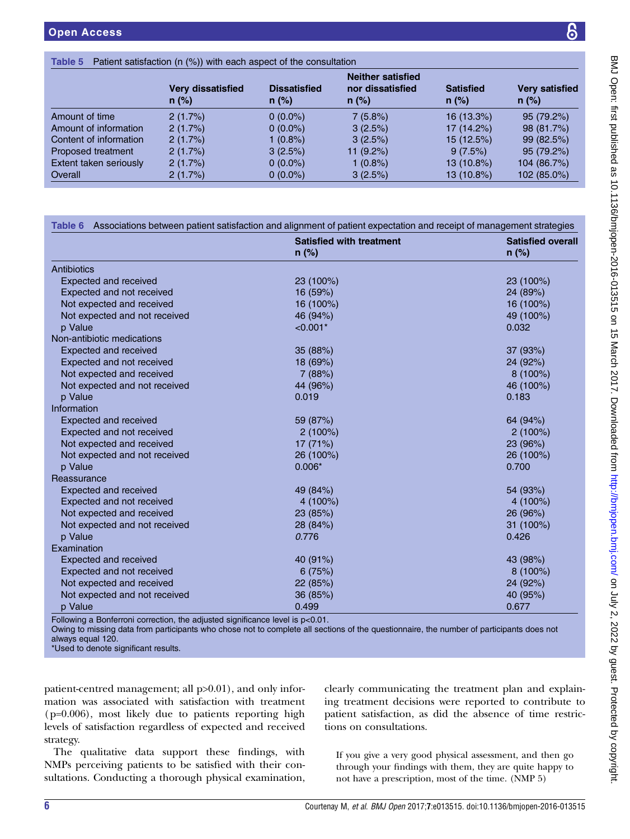### <span id="page-5-0"></span>Table 5 Patient satisfaction (n (%)) with each aspect of the consultation

|                        |                                      |                                | <b>Neither satisfied</b>    |                             |                                   |
|------------------------|--------------------------------------|--------------------------------|-----------------------------|-----------------------------|-----------------------------------|
|                        | <b>Very dissatisfied</b><br>$n (\%)$ | <b>Dissatisfied</b><br>$n$ (%) | nor dissatisfied<br>$n$ (%) | <b>Satisfied</b><br>$n$ (%) | <b>Very satisfied</b><br>$n (\%)$ |
| Amount of time         | 2(1.7%)                              | $0(0.0\%)$                     | 7(5.8%)                     | 16 (13.3%)                  | 95 (79.2%)                        |
| Amount of information  | 2(1.7%)                              | $0(0.0\%)$                     | 3(2.5%)                     | 17 (14.2%)                  | 98 (81.7%)                        |
| Content of information | 2(1.7%)                              | $1(0.8\%)$                     | 3(2.5%)                     | 15 (12.5%)                  | 99 (82.5%)                        |
| Proposed treatment     | 2(1.7%)                              | 3(2.5%)                        | 11 $(9.2\%)$                | 9(7.5%)                     | 95 (79.2%)                        |
| Extent taken seriously | 2(1.7%)                              | $0(0.0\%)$                     | $1(0.8\%)$                  | 13 (10.8%)                  | 104 (86.7%)                       |
| Overall                | 2(1.7%)                              | $0(0.0\%)$                     | 3(2.5%)                     | 13 (10.8%)                  | 102 (85.0%)                       |

|                               | <b>Satisfied with treatment</b><br>$n$ (%) | <b>Satisfied overall</b><br>n (%) |
|-------------------------------|--------------------------------------------|-----------------------------------|
| Antibiotics                   |                                            |                                   |
| Expected and received         | 23 (100%)                                  | 23 (100%)                         |
| Expected and not received     | 16 (59%)                                   | 24 (89%)                          |
| Not expected and received     | 16 (100%)                                  | 16 (100%)                         |
| Not expected and not received | 46 (94%)                                   | 49 (100%)                         |
| p Value                       | $< 0.001*$                                 | 0.032                             |
| Non-antibiotic medications    |                                            |                                   |
| Expected and received         | 35 (88%)                                   | 37 (93%)                          |
| Expected and not received     | 18 (69%)                                   | 24 (92%)                          |
| Not expected and received     | 7(88%)                                     | $8(100\%)$                        |
| Not expected and not received | 44 (96%)                                   | 46 (100%)                         |
| p Value                       | 0.019                                      | 0.183                             |
| <b>Information</b>            |                                            |                                   |
| Expected and received         | 59 (87%)                                   | 64 (94%)                          |
| Expected and not received     | $2(100\%)$                                 | $2(100\%)$                        |
| Not expected and received     | 17(71%)                                    | 23 (96%)                          |
| Not expected and not received | 26 (100%)                                  | 26 (100%)                         |
| p Value                       | $0.006*$                                   | 0.700                             |
| Reassurance                   |                                            |                                   |
| <b>Expected and received</b>  | 49 (84%)                                   | 54 (93%)                          |
| Expected and not received     | $4(100\%)$                                 | $4(100\%)$                        |
| Not expected and received     | 23 (85%)                                   | 26 (96%)                          |
| Not expected and not received | 28 (84%)                                   | 31 (100%)                         |
| p Value                       | 0.776                                      | 0.426                             |
| Examination                   |                                            |                                   |
| <b>Expected and received</b>  | 40 (91%)                                   | 43 (98%)                          |
| Expected and not received     | 6(75%)                                     | $8(100\%)$                        |
| Not expected and received     | 22 (85%)                                   | 24 (92%)                          |
| Not expected and not received | 36 (85%)                                   | 40 (95%)                          |
| p Value                       | 0.499                                      | 0.677                             |

Following a Bonferroni correction, the adjusted significance level is p<0.01.

Owing to missing data from participants who chose not to complete all sections of the questionnaire, the number of participants does not always equal 120.

\*Used to denote significant results.

patient-centred management; all p>0.01), and only information was associated with satisfaction with treatment (p=0.006), most likely due to patients reporting high levels of satisfaction regardless of expected and received strategy.

The qualitative data support these findings, with NMPs perceiving patients to be satisfied with their consultations. Conducting a thorough physical examination,

clearly communicating the treatment plan and explaining treatment decisions were reported to contribute to patient satisfaction, as did the absence of time restrictions on consultations.

If you give a very good physical assessment, and then go through your findings with them, they are quite happy to not have a prescription, most of the time. (NMP 5)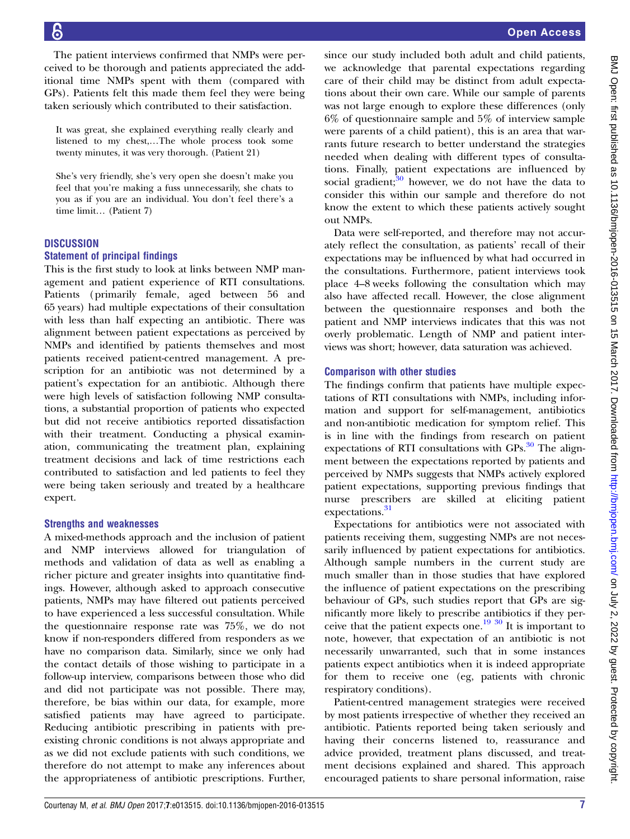The patient interviews confirmed that NMPs were perceived to be thorough and patients appreciated the additional time NMPs spent with them (compared with GPs). Patients felt this made them feel they were being taken seriously which contributed to their satisfaction.

It was great, she explained everything really clearly and listened to my chest,…The whole process took some twenty minutes, it was very thorough. (Patient 21)

She's very friendly, she's very open she doesn't make you feel that you're making a fuss unnecessarily, she chats to you as if you are an individual. You don't feel there's a time limit… (Patient 7)

### **DISCUSSION**

### Statement of principal findings

This is the first study to look at links between NMP management and patient experience of RTI consultations. Patients (primarily female, aged between 56 and 65 years) had multiple expectations of their consultation with less than half expecting an antibiotic. There was alignment between patient expectations as perceived by NMPs and identified by patients themselves and most patients received patient-centred management. A prescription for an antibiotic was not determined by a patient's expectation for an antibiotic. Although there were high levels of satisfaction following NMP consultations, a substantial proportion of patients who expected but did not receive antibiotics reported dissatisfaction with their treatment. Conducting a physical examination, communicating the treatment plan, explaining treatment decisions and lack of time restrictions each contributed to satisfaction and led patients to feel they were being taken seriously and treated by a healthcare expert.

### Strengths and weaknesses

A mixed-methods approach and the inclusion of patient and NMP interviews allowed for triangulation of methods and validation of data as well as enabling a richer picture and greater insights into quantitative findings. However, although asked to approach consecutive patients, NMPs may have filtered out patients perceived to have experienced a less successful consultation. While the questionnaire response rate was 75%, we do not know if non-responders differed from responders as we have no comparison data. Similarly, since we only had the contact details of those wishing to participate in a follow-up interview, comparisons between those who did and did not participate was not possible. There may, therefore, be bias within our data, for example, more satisfied patients may have agreed to participate. Reducing antibiotic prescribing in patients with preexisting chronic conditions is not always appropriate and as we did not exclude patients with such conditions, we therefore do not attempt to make any inferences about the appropriateness of antibiotic prescriptions. Further,

since our study included both adult and child patients, we acknowledge that parental expectations regarding care of their child may be distinct from adult expectations about their own care. While our sample of parents was not large enough to explore these differences (only 6% of questionnaire sample and 5% of interview sample were parents of a child patient), this is an area that warrants future research to better understand the strategies needed when dealing with different types of consultations. Finally, patient expectations are influenced by social gradient; $30$  however, we do not have the data to consider this within our sample and therefore do not know the extent to which these patients actively sought out NMPs.

Data were self-reported, and therefore may not accurately reflect the consultation, as patients' recall of their expectations may be influenced by what had occurred in the consultations. Furthermore, patient interviews took place 4–8 weeks following the consultation which may also have affected recall. However, the close alignment between the questionnaire responses and both the patient and NMP interviews indicates that this was not overly problematic. Length of NMP and patient interviews was short; however, data saturation was achieved.

### Comparison with other studies

The findings confirm that patients have multiple expectations of RTI consultations with NMPs, including information and support for self-management, antibiotics and non-antibiotic medication for symptom relief. This is in line with the findings from research on patient expectations of RTI consultations with  $\text{GPs}^{30}$ . The alignment between the expectations reported by patients and perceived by NMPs suggests that NMPs actively explored patient expectations, supporting previous findings that nurse prescribers are skilled at eliciting patient expectations.<sup>[31](#page-8-0)</sup>

Expectations for antibiotics were not associated with patients receiving them, suggesting NMPs are not necessarily influenced by patient expectations for antibiotics. Although sample numbers in the current study are much smaller than in those studies that have explored the influence of patient expectations on the prescribing behaviour of GPs, such studies report that GPs are significantly more likely to prescribe antibiotics if they perceive that the patient expects one.[19 30](#page-8-0) It is important to note, however, that expectation of an antibiotic is not necessarily unwarranted, such that in some instances patients expect antibiotics when it is indeed appropriate for them to receive one (eg, patients with chronic respiratory conditions).

Patient-centred management strategies were received by most patients irrespective of whether they received an antibiotic. Patients reported being taken seriously and having their concerns listened to, reassurance and advice provided, treatment plans discussed, and treatment decisions explained and shared. This approach encouraged patients to share personal information, raise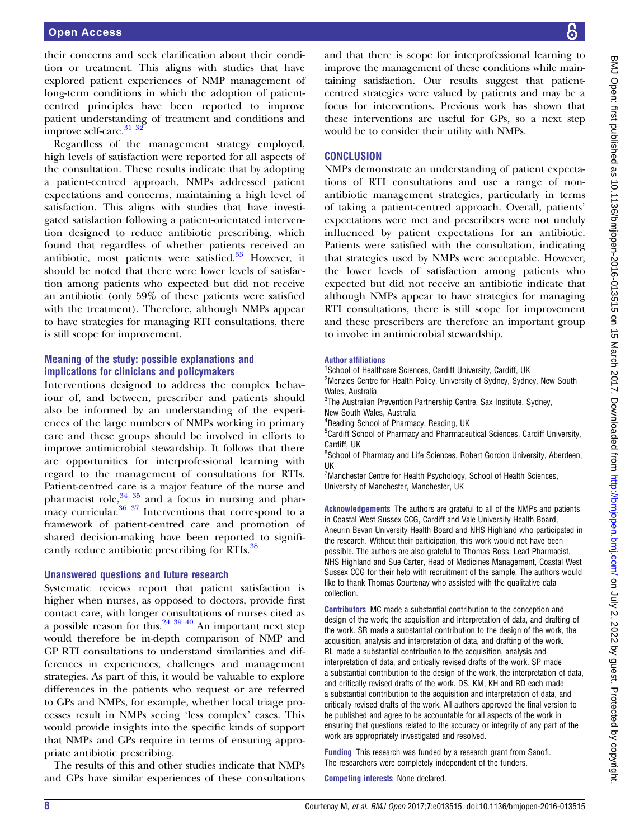their concerns and seek clarification about their condition or treatment. This aligns with studies that have explored patient experiences of NMP management of long-term conditions in which the adoption of patientcentred principles have been reported to improve patient understanding of treatment and conditions and improve self-care.<sup>31</sup> <sup>32</sup>

Regardless of the management strategy employed, high levels of satisfaction were reported for all aspects of the consultation. These results indicate that by adopting a patient-centred approach, NMPs addressed patient expectations and concerns, maintaining a high level of satisfaction. This aligns with studies that have investigated satisfaction following a patient-orientated intervention designed to reduce antibiotic prescribing, which found that regardless of whether patients received an antibiotic, most patients were satisfied. $33$  However, it should be noted that there were lower levels of satisfaction among patients who expected but did not receive an antibiotic (only 59% of these patients were satisfied with the treatment). Therefore, although NMPs appear to have strategies for managing RTI consultations, there is still scope for improvement.

### Meaning of the study: possible explanations and implications for clinicians and policymakers

Interventions designed to address the complex behaviour of, and between, prescriber and patients should also be informed by an understanding of the experiences of the large numbers of NMPs working in primary care and these groups should be involved in efforts to improve antimicrobial stewardship. It follows that there are opportunities for interprofessional learning with regard to the management of consultations for RTIs. Patient-centred care is a major feature of the nurse and pharmacist role, $34^{35}$  and a focus in nursing and pharmacy curricular.<sup>36 37</sup> Interventions that correspond to a framework of patient-centred care and promotion of shared decision-making have been reported to signifi-cantly reduce antibiotic prescribing for RTIs.<sup>[38](#page-8-0)</sup>

### Unanswered questions and future research

Systematic reviews report that patient satisfaction is higher when nurses, as opposed to doctors, provide first contact care, with longer consultations of nurses cited as a possible reason for this. $24 \frac{3940}{9}$  An important next step would therefore be in-depth comparison of NMP and GP RTI consultations to understand similarities and differences in experiences, challenges and management strategies. As part of this, it would be valuable to explore differences in the patients who request or are referred to GPs and NMPs, for example, whether local triage processes result in NMPs seeing 'less complex' cases. This would provide insights into the specific kinds of support that NMPs and GPs require in terms of ensuring appropriate antibiotic prescribing.

The results of this and other studies indicate that NMPs and GPs have similar experiences of these consultations and that there is scope for interprofessional learning to improve the management of these conditions while maintaining satisfaction. Our results suggest that patientcentred strategies were valued by patients and may be a focus for interventions. Previous work has shown that these interventions are useful for GPs, so a next step would be to consider their utility with NMPs.

### **CONCLUSION**

NMPs demonstrate an understanding of patient expectations of RTI consultations and use a range of nonantibiotic management strategies, particularly in terms of taking a patient-centred approach. Overall, patients' expectations were met and prescribers were not unduly influenced by patient expectations for an antibiotic. Patients were satisfied with the consultation, indicating that strategies used by NMPs were acceptable. However, the lower levels of satisfaction among patients who expected but did not receive an antibiotic indicate that although NMPs appear to have strategies for managing RTI consultations, there is still scope for improvement and these prescribers are therefore an important group to involve in antimicrobial stewardship.

#### Author affiliations

<sup>1</sup>School of Healthcare Sciences, Cardiff University, Cardiff, UK

<sup>2</sup>Menzies Centre for Health Policy, University of Sydney, Sydney, New South Wales, Australia

<sup>3</sup>The Australian Prevention Partnership Centre, Sax Institute, Sydney, New South Wales, Australia

4 Reading School of Pharmacy, Reading, UK

<sup>5</sup>Cardiff School of Pharmacy and Pharmaceutical Sciences, Cardiff University, Cardiff, UK

<sup>6</sup>School of Pharmacy and Life Sciences, Robert Gordon University, Aberdeen, UK

<sup>7</sup> Manchester Centre for Health Psychology, School of Health Sciences, University of Manchester, Manchester, UK

Acknowledgements The authors are grateful to all of the NMPs and patients in Coastal West Sussex CCG, Cardiff and Vale University Health Board, Aneurin Bevan University Health Board and NHS Highland who participated in the research. Without their participation, this work would not have been possible. The authors are also grateful to Thomas Ross, Lead Pharmacist, NHS Highland and Sue Carter, Head of Medicines Management, Coastal West Sussex CCG for their help with recruitment of the sample. The authors would like to thank Thomas Courtenay who assisted with the qualitative data collection.

Contributors MC made a substantial contribution to the conception and design of the work; the acquisition and interpretation of data, and drafting of the work. SR made a substantial contribution to the design of the work, the acquisition, analysis and interpretation of data, and drafting of the work. RL made a substantial contribution to the acquisition, analysis and interpretation of data, and critically revised drafts of the work. SP made a substantial contribution to the design of the work, the interpretation of data, and critically revised drafts of the work. DS, KM, KH and RD each made a substantial contribution to the acquisition and interpretation of data, and critically revised drafts of the work. All authors approved the final version to be published and agree to be accountable for all aspects of the work in ensuring that questions related to the accuracy or integrity of any part of the work are appropriately investigated and resolved.

Funding This research was funded by a research grant from Sanofi. The researchers were completely independent of the funders.

Competing interests None declared.